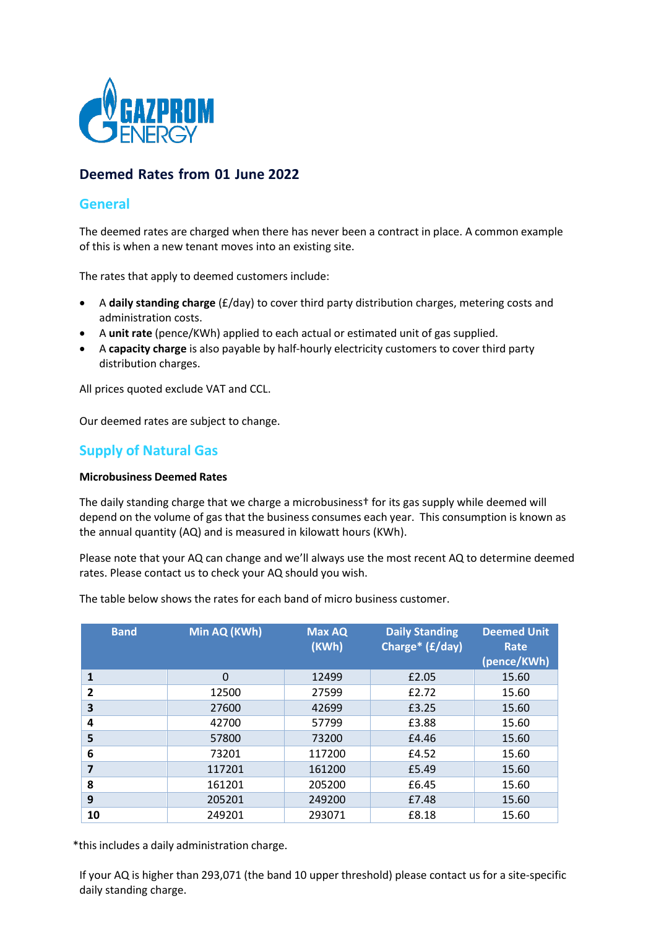

# **Deemed Rates from 01 June 2022**

## **General**

The deemed rates are charged when there has never been a contract in place. A common example of this is when a new tenant moves into an existing site.

The rates that apply to deemed customers include:

- A **daily standing charge** (£/day) to cover third party distribution charges, metering costs and administration costs.
- A **unit rate** (pence/KWh) applied to each actual or estimated unit of gas supplied.
- A **capacity charge** is also payable by half‐hourly electricity customers to cover third party distribution charges.

All prices quoted exclude VAT and CCL.

Our deemed rates are subject to change.

## **Supply of Natural Gas**

#### **Microbusiness Deemed Rates**

The daily standing charge that we charge a microbusiness† for its gas supply while deemed will depend on the volume of gas that the business consumes each year. This consumption is known as the annual quantity (AQ) and is measured in kilowatt hours (KWh).

Please note that your AQ can change and we'll always use the most recent AQ to determine deemed rates. Please contact us to check your AQ should you wish.

**Band Min AQ (KWh) Max AQ (KWh) Daily Standing Charge\* (£/day) Deemed Unit Rate (pence/KWh) 1** 0 12499 £2.05 15.60 **2** 12500 27599 **£2.72** 15.60 **3** 27600 42699 £3.25 15.60 **4** 42700 57799 £3.88 15.60 **5** 57800 73200 £4.46 15.60 **6** 73201 117200 £4.52 15.60 **7** 117201 161200 £5.49 15.60 **8** 161201 205200 £6.45 15.60 **9** 205201 249200 £7.48 15.60 **10** 249201 293071 **£8.18** 15.60

The table below shows the rates for each band of micro business customer.

\*this includes a daily administration charge.

If your AQ is higher than 293,071 (the band 10 upper threshold) please contact us for a site‐specific daily standing charge.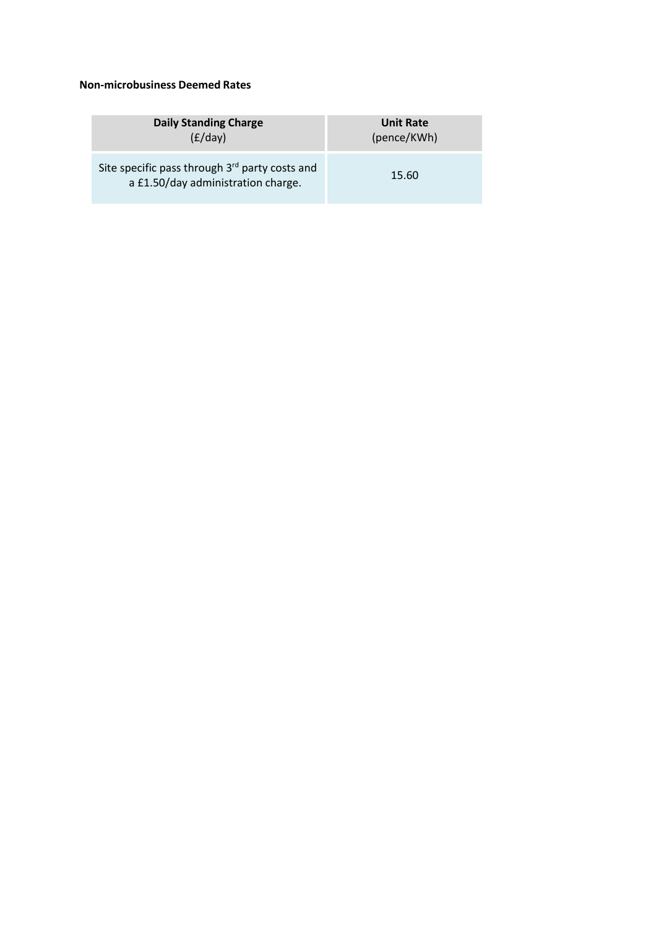## **Non‐microbusiness Deemed Rates**

| Daily Standing Charge                                                                | <b>Unit Rate</b> |
|--------------------------------------------------------------------------------------|------------------|
| (E/day)                                                                              | (pence/KWh)      |
| Site specific pass through 3rd party costs and<br>a £1.50/day administration charge. | 15.60            |